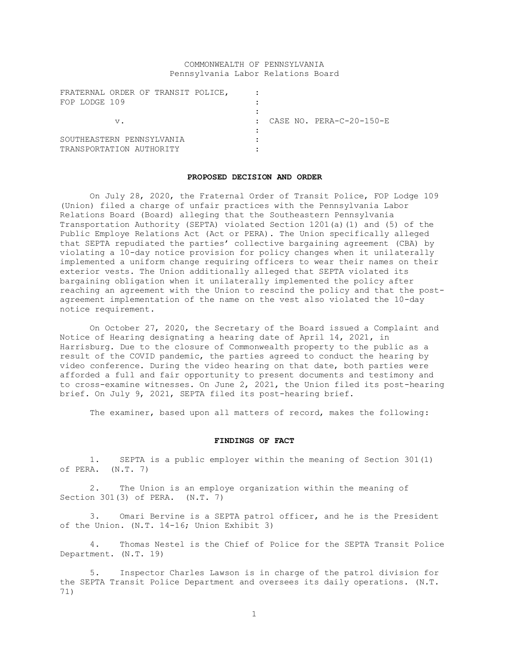# COMMONWEALTH OF PENNSYLVANIA Pennsylvania Labor Relations Board

| FRATERNAL ORDER OF TRANSIT POLICE, |    |  |  |  |                          |
|------------------------------------|----|--|--|--|--------------------------|
| FOP LODGE 109                      |    |  |  |  |                          |
|                                    |    |  |  |  |                          |
|                                    | V. |  |  |  | CASE NO. PERA-C-20-150-E |
|                                    |    |  |  |  |                          |
| SOUTHEASTERN PENNSYLVANIA          |    |  |  |  |                          |
| TRANSPORTATION AUTHORITY           |    |  |  |  |                          |

### **PROPOSED DECISION AND ORDER**

On July 28, 2020, the Fraternal Order of Transit Police, FOP Lodge 109 (Union) filed a charge of unfair practices with the Pennsylvania Labor Relations Board (Board) alleging that the Southeastern Pennsylvania Transportation Authority (SEPTA) violated Section 1201(a)(1) and (5) of the Public Employe Relations Act (Act or PERA). The Union specifically alleged that SEPTA repudiated the parties' collective bargaining agreement (CBA) by violating a 10-day notice provision for policy changes when it unilaterally implemented a uniform change requiring officers to wear their names on their exterior vests. The Union additionally alleged that SEPTA violated its bargaining obligation when it unilaterally implemented the policy after reaching an agreement with the Union to rescind the policy and that the postagreement implementation of the name on the vest also violated the 10-day notice requirement.

On October 27, 2020, the Secretary of the Board issued a Complaint and Notice of Hearing designating a hearing date of April 14, 2021, in Harrisburg. Due to the closure of Commonwealth property to the public as a result of the COVID pandemic, the parties agreed to conduct the hearing by video conference. During the video hearing on that date, both parties were afforded a full and fair opportunity to present documents and testimony and to cross-examine witnesses. On June 2, 2021, the Union filed its post-hearing brief. On July 9, 2021, SEPTA filed its post-hearing brief.

The examiner, based upon all matters of record, makes the following:

### **FINDINGS OF FACT**

1. SEPTA is a public employer within the meaning of Section 301(1) of PERA. (N.T. 7)

2. The Union is an employe organization within the meaning of Section 301(3) of PERA. (N.T. 7)

3. Omari Bervine is a SEPTA patrol officer, and he is the President of the Union. (N.T. 14-16; Union Exhibit 3)

4. Thomas Nestel is the Chief of Police for the SEPTA Transit Police Department. (N.T. 19)

5. Inspector Charles Lawson is in charge of the patrol division for the SEPTA Transit Police Department and oversees its daily operations. (N.T. 71)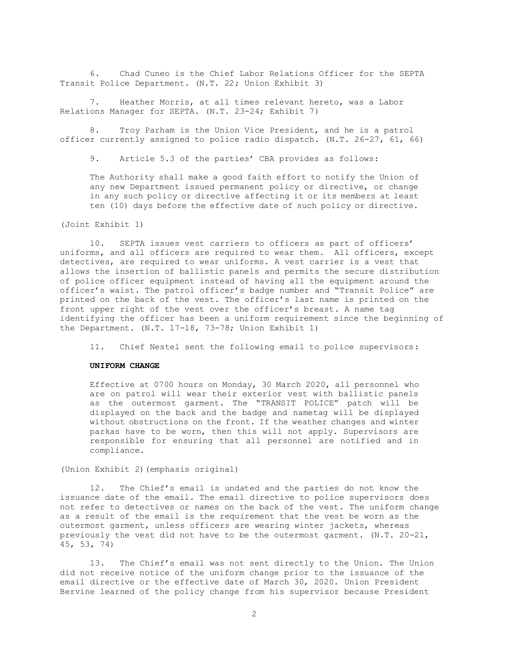6. Chad Cuneo is the Chief Labor Relations Officer for the SEPTA Transit Police Department. (N.T. 22; Union Exhibit 3)

7. Heather Morris, at all times relevant hereto, was a Labor Relations Manager for SEPTA. (N.T. 23-24; Exhibit 7)

8. Troy Parham is the Union Vice President, and he is a patrol officer currently assigned to police radio dispatch. (N.T. 26-27, 61, 66)

9. Article 5.3 of the parties' CBA provides as follows:

The Authority shall make a good faith effort to notify the Union of any new Department issued permanent policy or directive, or change in any such policy or directive affecting it or its members at least ten (10) days before the effective date of such policy or directive.

(Joint Exhibit 1)

10. SEPTA issues vest carriers to officers as part of officers' uniforms, and all officers are required to wear them. All officers, except detectives, are required to wear uniforms. A vest carrier is a vest that allows the insertion of ballistic panels and permits the secure distribution of police officer equipment instead of having all the equipment around the officer's waist. The patrol officer's badge number and "Transit Police" are printed on the back of the vest. The officer's last name is printed on the front upper right of the vest over the officer's breast. A name tag identifying the officer has been a uniform requirement since the beginning of the Department. (N.T. 17-18, 73-78; Union Exhibit 1)

11. Chief Nestel sent the following email to police supervisors:

### **UNIFORM CHANGE**

Effective at 0700 hours on Monday, 30 March 2020, all personnel who are on patrol will wear their exterior vest with ballistic panels as the outermost garment. The "TRANSIT POLICE" patch will be displayed on the back and the badge and nametag will be displayed without obstructions on the front. If the weather changes and winter parkas have to be worn, then this will not apply. Supervisors are responsible for ensuring that all personnel are notified and in compliance.

(Union Exhibit 2)(emphasis original)

12. The Chief's email is undated and the parties do not know the issuance date of the email. The email directive to police supervisors does not refer to detectives or names on the back of the vest. The uniform change as a result of the email is the requirement that the vest be worn as the outermost garment, unless officers are wearing winter jackets, whereas previously the vest did not have to be the outermost garment. (N.T. 20-21, 45, 53, 74)

13. The Chief's email was not sent directly to the Union. The Union did not receive notice of the uniform change prior to the issuance of the email directive or the effective date of March 30, 2020. Union President Bervine learned of the policy change from his supervisor because President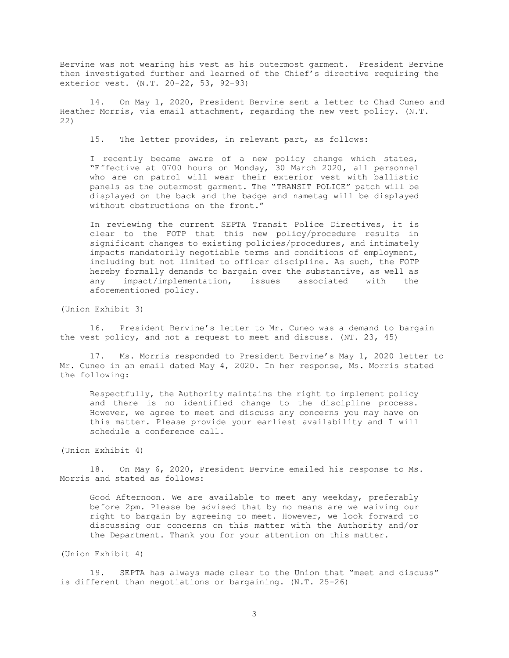Bervine was not wearing his vest as his outermost garment. President Bervine then investigated further and learned of the Chief's directive requiring the exterior vest. (N.T. 20-22, 53, 92-93)

14. On May 1, 2020, President Bervine sent a letter to Chad Cuneo and Heather Morris, via email attachment, regarding the new vest policy. (N.T. 22)

15. The letter provides, in relevant part, as follows:

I recently became aware of a new policy change which states, "Effective at 0700 hours on Monday, 30 March 2020, all personnel who are on patrol will wear their exterior vest with ballistic panels as the outermost garment. The "TRANSIT POLICE" patch will be displayed on the back and the badge and nametag will be displayed without obstructions on the front."

In reviewing the current SEPTA Transit Police Directives, it is clear to the FOTP that this new policy/procedure results in significant changes to existing policies/procedures, and intimately impacts mandatorily negotiable terms and conditions of employment, including but not limited to officer discipline. As such, the FOTP hereby formally demands to bargain over the substantive, as well as any impact/implementation, issues associated with the aforementioned policy.

(Union Exhibit 3)

16. President Bervine's letter to Mr. Cuneo was a demand to bargain the vest policy, and not a request to meet and discuss. (NT. 23, 45)

17. Ms. Morris responded to President Bervine's May 1, 2020 letter to Mr. Cuneo in an email dated May 4, 2020. In her response, Ms. Morris stated the following:

Respectfully, the Authority maintains the right to implement policy and there is no identified change to the discipline process. However, we agree to meet and discuss any concerns you may have on this matter. Please provide your earliest availability and I will schedule a conference call.

(Union Exhibit 4)

18. On May 6, 2020, President Bervine emailed his response to Ms. Morris and stated as follows:

Good Afternoon. We are available to meet any weekday, preferably before 2pm. Please be advised that by no means are we waiving our right to bargain by agreeing to meet. However, we look forward to discussing our concerns on this matter with the Authority and/or the Department. Thank you for your attention on this matter.

## (Union Exhibit 4)

19. SEPTA has always made clear to the Union that "meet and discuss" is different than negotiations or bargaining. (N.T. 25-26)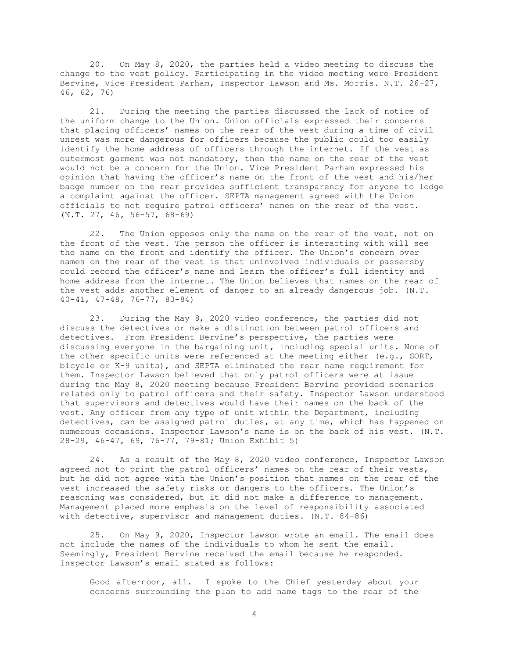20. On May 8, 2020, the parties held a video meeting to discuss the change to the vest policy. Participating in the video meeting were President Bervine, Vice President Parham, Inspector Lawson and Ms. Morris. N.T. 26-27, 46, 62, 76)

21. During the meeting the parties discussed the lack of notice of the uniform change to the Union. Union officials expressed their concerns that placing officers' names on the rear of the vest during a time of civil unrest was more dangerous for officers because the public could too easily identify the home address of officers through the internet. If the vest as outermost garment was not mandatory, then the name on the rear of the vest would not be a concern for the Union. Vice President Parham expressed his opinion that having the officer's name on the front of the vest and his/her badge number on the rear provides sufficient transparency for anyone to lodge a complaint against the officer. SEPTA management agreed with the Union officials to not require patrol officers' names on the rear of the vest. (N.T. 27, 46, 56-57, 68-69)

22. The Union opposes only the name on the rear of the vest, not on the front of the vest. The person the officer is interacting with will see the name on the front and identify the officer. The Union's concern over names on the rear of the vest is that uninvolved individuals or passersby could record the officer's name and learn the officer's full identity and home address from the internet. The Union believes that names on the rear of the vest adds another element of danger to an already dangerous job. (N.T. 40-41, 47-48, 76-77, 83-84)

23. During the May 8, 2020 video conference, the parties did not discuss the detectives or make a distinction between patrol officers and detectives. From President Bervine's perspective, the parties were discussing everyone in the bargaining unit, including special units. None of the other specific units were referenced at the meeting either (e.g., SORT, bicycle or K-9 units), and SEPTA eliminated the rear name requirement for them. Inspector Lawson believed that only patrol officers were at issue during the May 8, 2020 meeting because President Bervine provided scenarios related only to patrol officers and their safety. Inspector Lawson understood that supervisors and detectives would have their names on the back of the vest. Any officer from any type of unit within the Department, including detectives, can be assigned patrol duties, at any time, which has happened on numerous occasions. Inspector Lawson's name is on the back of his vest. (N.T. 28-29, 46-47, 69, 76-77, 79-81; Union Exhibit 5)

24. As a result of the May 8, 2020 video conference, Inspector Lawson agreed not to print the patrol officers' names on the rear of their vests, but he did not agree with the Union's position that names on the rear of the vest increased the safety risks or dangers to the officers. The Union's reasoning was considered, but it did not make a difference to management. Management placed more emphasis on the level of responsibility associated with detective, supervisor and management duties. (N.T. 84-86)

25. On May 9, 2020, Inspector Lawson wrote an email. The email does not include the names of the individuals to whom he sent the email. Seemingly, President Bervine received the email because he responded. Inspector Lawson's email stated as follows:

Good afternoon, all. I spoke to the Chief yesterday about your concerns surrounding the plan to add name tags to the rear of the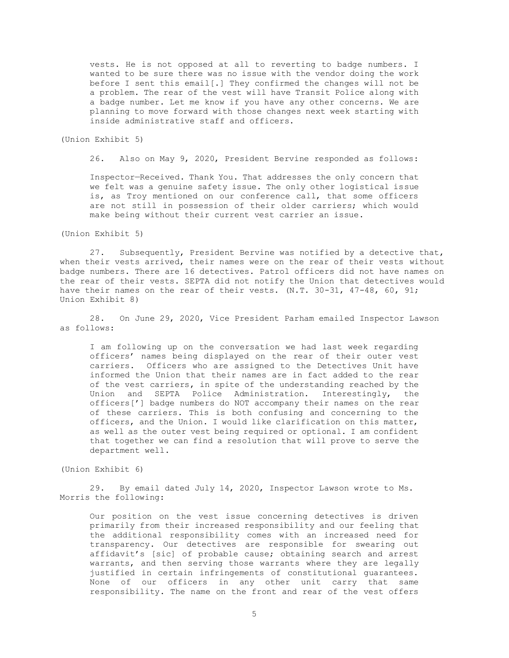vests. He is not opposed at all to reverting to badge numbers. I wanted to be sure there was no issue with the vendor doing the work before I sent this email[.] They confirmed the changes will not be a problem. The rear of the vest will have Transit Police along with a badge number. Let me know if you have any other concerns. We are planning to move forward with those changes next week starting with inside administrative staff and officers.

(Union Exhibit 5)

26. Also on May 9, 2020, President Bervine responded as follows:

Inspector—Received. Thank You. That addresses the only concern that we felt was a genuine safety issue. The only other logistical issue is, as Troy mentioned on our conference call, that some officers are not still in possession of their older carriers; which would make being without their current vest carrier an issue.

(Union Exhibit 5)

27. Subsequently, President Bervine was notified by a detective that, when their vests arrived, their names were on the rear of their vests without badge numbers. There are 16 detectives. Patrol officers did not have names on the rear of their vests. SEPTA did not notify the Union that detectives would have their names on the rear of their vests. (N.T. 30-31, 47-48, 60, 91; Union Exhibit 8)

28. On June 29, 2020, Vice President Parham emailed Inspector Lawson as follows:

I am following up on the conversation we had last week regarding officers' names being displayed on the rear of their outer vest carriers. Officers who are assigned to the Detectives Unit have informed the Union that their names are in fact added to the rear of the vest carriers, in spite of the understanding reached by the Union and SEPTA Police Administration. Interestingly, the officers['] badge numbers do NOT accompany their names on the rear of these carriers. This is both confusing and concerning to the officers, and the Union. I would like clarification on this matter, as well as the outer vest being required or optional. I am confident that together we can find a resolution that will prove to serve the department well.

(Union Exhibit 6)

29. By email dated July 14, 2020, Inspector Lawson wrote to Ms. Morris the following:

Our position on the vest issue concerning detectives is driven primarily from their increased responsibility and our feeling that the additional responsibility comes with an increased need for transparency. Our detectives are responsible for swearing out affidavit's [sic] of probable cause; obtaining search and arrest warrants, and then serving those warrants where they are legally justified in certain infringements of constitutional guarantees. None of our officers in any other unit carry that same responsibility. The name on the front and rear of the vest offers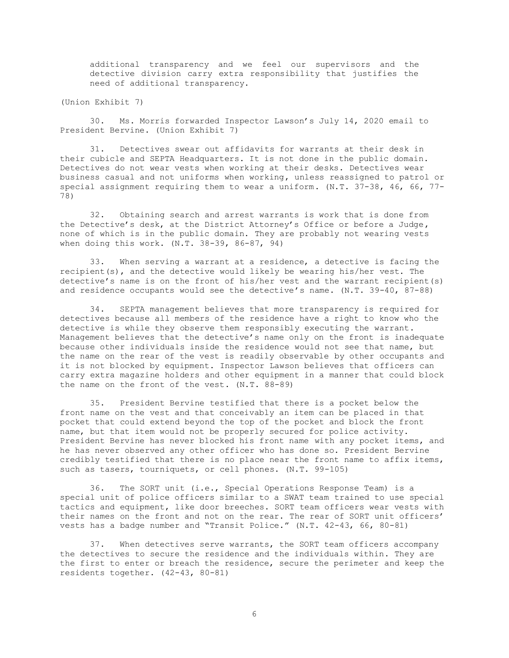additional transparency and we feel our supervisors and the detective division carry extra responsibility that justifies the need of additional transparency.

(Union Exhibit 7)

30. Ms. Morris forwarded Inspector Lawson's July 14, 2020 email to President Bervine. (Union Exhibit 7)

31. Detectives swear out affidavits for warrants at their desk in their cubicle and SEPTA Headquarters. It is not done in the public domain. Detectives do not wear vests when working at their desks. Detectives wear business casual and not uniforms when working, unless reassigned to patrol or special assignment requiring them to wear a uniform. (N.T. 37-38, 46, 66, 77- 78)

32. Obtaining search and arrest warrants is work that is done from the Detective's desk, at the District Attorney's Office or before a Judge, none of which is in the public domain. They are probably not wearing vests when doing this work. (N.T. 38-39, 86-87, 94)

33. When serving a warrant at a residence, a detective is facing the recipient(s), and the detective would likely be wearing his/her vest. The detective's name is on the front of his/her vest and the warrant recipient(s) and residence occupants would see the detective's name. (N.T. 39-40, 87-88)

34. SEPTA management believes that more transparency is required for detectives because all members of the residence have a right to know who the detective is while they observe them responsibly executing the warrant. Management believes that the detective's name only on the front is inadequate because other individuals inside the residence would not see that name, but the name on the rear of the vest is readily observable by other occupants and it is not blocked by equipment. Inspector Lawson believes that officers can carry extra magazine holders and other equipment in a manner that could block the name on the front of the vest. (N.T. 88-89)

35. President Bervine testified that there is a pocket below the front name on the vest and that conceivably an item can be placed in that pocket that could extend beyond the top of the pocket and block the front name, but that item would not be properly secured for police activity. President Bervine has never blocked his front name with any pocket items, and he has never observed any other officer who has done so. President Bervine credibly testified that there is no place near the front name to affix items, such as tasers, tourniquets, or cell phones. (N.T. 99-105)

36. The SORT unit (i.e., Special Operations Response Team) is a special unit of police officers similar to a SWAT team trained to use special tactics and equipment, like door breeches. SORT team officers wear vests with their names on the front and not on the rear. The rear of SORT unit officers' vests has a badge number and "Transit Police." (N.T. 42-43, 66, 80-81)

37. When detectives serve warrants, the SORT team officers accompany the detectives to secure the residence and the individuals within. They are the first to enter or breach the residence, secure the perimeter and keep the residents together. (42-43, 80-81)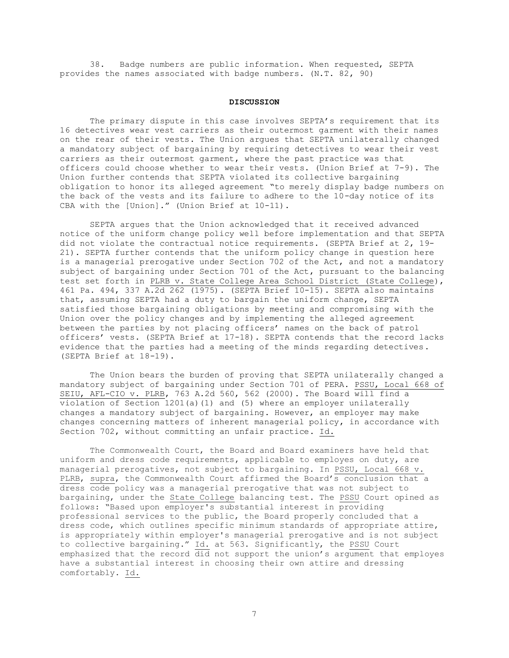38. Badge numbers are public information. When requested, SEPTA provides the names associated with badge numbers. (N.T. 82, 90)

## **DISCUSSION**

The primary dispute in this case involves SEPTA's requirement that its 16 detectives wear vest carriers as their outermost garment with their names on the rear of their vests. The Union argues that SEPTA unilaterally changed a mandatory subject of bargaining by requiring detectives to wear their vest carriers as their outermost garment, where the past practice was that officers could choose whether to wear their vests. (Union Brief at 7-9). The Union further contends that SEPTA violated its collective bargaining obligation to honor its alleged agreement "to merely display badge numbers on the back of the vests and its failure to adhere to the 10-day notice of its CBA with the [Union]." (Union Brief at 10-11).

SEPTA argues that the Union acknowledged that it received advanced notice of the uniform change policy well before implementation and that SEPTA did not violate the contractual notice requirements. (SEPTA Brief at 2, 19- 21). SEPTA further contends that the uniform policy change in question here is a managerial prerogative under Section 702 of the Act, and not a mandatory subject of bargaining under Section 701 of the Act, pursuant to the balancing test set forth in PLRB v. State College Area School District (State College), 461 Pa. 494, 337 A.2d 262 (1975). (SEPTA Brief 10-15). SEPTA also maintains that, assuming SEPTA had a duty to bargain the uniform change, SEPTA satisfied those bargaining obligations by meeting and compromising with the Union over the policy changes and by implementing the alleged agreement between the parties by not placing officers' names on the back of patrol officers' vests. (SEPTA Brief at 17-18). SEPTA contends that the record lacks evidence that the parties had a meeting of the minds regarding detectives. (SEPTA Brief at 18-19).

The Union bears the burden of proving that SEPTA unilaterally changed a mandatory subject of bargaining under Section 701 of PERA. PSSU, Local 668 of SEIU, AFL-CIO v. PLRB, 763 A.2d 560, 562 (2000). The Board will find a  $\overline{violation of Section}$  1201(a)(1) and (5) where an employer unilaterally changes a mandatory subject of bargaining. However, an employer may make changes concerning matters of inherent managerial policy, in accordance with Section 702, without committing an unfair practice. Id.

The Commonwealth Court, the Board and Board examiners have held that uniform and dress code requirements, applicable to employes on duty, are managerial prerogatives, not subject to bargaining. In PSSU, Local 668 v. PLRB, supra, the Commonwealth Court affirmed the Board's conclusion that a dress code policy was a managerial prerogative that was not subject to bargaining, under the State College balancing test. The PSSU Court opined as follows: "Based upon employer's substantial interest in providing professional services to the public, the Board properly concluded that a dress code, which outlines specific minimum standards of appropriate attire, is appropriately within employer's managerial prerogative and is not subject to collective bargaining." Id. at 563. Significantly, the PSSU Court emphasized that the record did not support the union's argument that employes have a substantial interest in choosing their own attire and dressing comfortably. Id.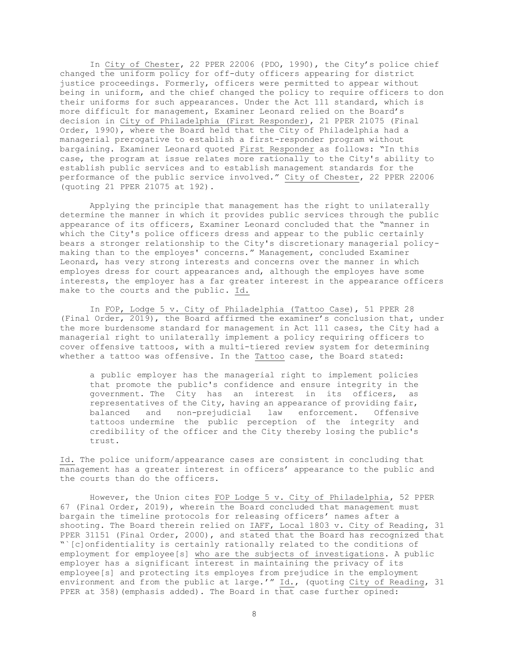In City of Chester, 22 PPER 22006 (PDO, 1990), the City's police chief changed the uniform policy for off-duty officers appearing for district justice proceedings. Formerly, officers were permitted to appear without being in uniform, and the chief changed the policy to require officers to don their uniforms for such appearances. Under the Act 111 standard, which is more difficult for management, Examiner Leonard relied on the Board's decision in City of Philadelphia (First Responder), 21 PPER 21075 (Final Order, 1990), where the Board held that the City of Philadelphia had a managerial prerogative to establish a first-responder program without bargaining. Examiner Leonard quoted First Responder as follows: "In this case, the program at issue relates more rationally to the City's ability to establish public services and to establish management standards for the performance of the public service involved." City of Chester, 22 PPER 22006 (quoting 21 PPER 21075 at 192).

Applying the principle that management has the right to unilaterally determine the manner in which it provides public services through the public appearance of its officers, Examiner Leonard concluded that the "manner in which the City's police officers dress and appear to the public certainly bears a stronger relationship to the City's discretionary managerial policymaking than to the employes' concerns." Management, concluded Examiner Leonard, has very strong interests and concerns over the manner in which employes dress for court appearances and, although the employes have some interests, the employer has a far greater interest in the appearance officers make to the courts and the public. Id.

In FOP, Lodge 5 v. City of Philadelphia (Tattoo Case), 51 PPER 28 (Final Order, 2019), the Board affirmed the examiner's conclusion that, under the more burdensome standard for management in Act 111 cases, the City had a managerial right to unilaterally implement a policy requiring officers to cover offensive tattoos, with a multi-tiered review system for determining whether a tattoo was offensive. In the Tattoo case, the Board stated:

a public employer has the managerial right to implement policies that promote the public's confidence and ensure integrity in the government. The City has an interest in its officers, as representatives of the City, having an appearance of providing fair, balanced and non-prejudicial law enforcement. Offensive tattoos undermine the public perception of the integrity and credibility of the officer and the City thereby losing the public's trust.

Id. The police uniform/appearance cases are consistent in concluding that management has a greater interest in officers' appearance to the public and the courts than do the officers.

However, the Union cites FOP Lodge 5 v. City of Philadelphia, 52 PPER 67 (Final Order, 2019), wherein the Board concluded that management must bargain the timeline protocols for releasing officers' names after a shooting. The Board therein relied on IAFF, Local 1803 v. City of Reading, 31 PPER 31151 (Final Order, 2000), and stated that the Board has recognized that "`[c]onfidentiality is certainly rationally related to the conditions of employment for employee[s] who are the subjects of investigations. A public employer has a significant interest in maintaining the privacy of its employee[s] and protecting its employes from prejudice in the employment environment and from the public at large.'" Id., (quoting City of Reading, 31 PPER at 358) (emphasis added). The Board in that case further opined: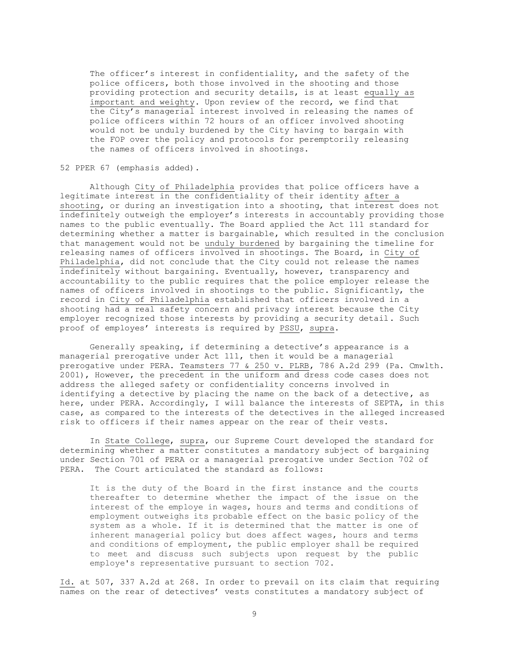The officer's interest in confidentiality, and the safety of the police officers, both those involved in the shooting and those providing protection and security details, is at least equally as important and weighty. Upon review of the record, we find that the City's managerial interest involved in releasing the names of police officers within 72 hours of an officer involved shooting would not be unduly burdened by the City having to bargain with the FOP over the policy and protocols for peremptorily releasing the names of officers involved in shootings.

52 PPER 67 (emphasis added).

Although City of Philadelphia provides that police officers have a legitimate interest in the confidentiality of their identity after a shooting, or during an investigation into a shooting, that interest does not indefinitely outweigh the employer's interests in accountably providing those names to the public eventually. The Board applied the Act 111 standard for determining whether a matter is bargainable, which resulted in the conclusion that management would not be unduly burdened by bargaining the timeline for releasing names of officers involved in shootings. The Board, in City of Philadelphia, did not conclude that the City could not release the names indefinitely without bargaining. Eventually, however, transparency and accountability to the public requires that the police employer release the names of officers involved in shootings to the public. Significantly, the record in City of Philadelphia established that officers involved in a shooting had a real safety concern and privacy interest because the City employer recognized those interests by providing a security detail. Such proof of employes' interests is required by PSSU, supra.

Generally speaking, if determining a detective's appearance is a managerial prerogative under Act 111, then it would be a managerial prerogative under PERA. Teamsters 77 & 250 v. PLRB, 786 A.2d 299 (Pa. Cmwlth. 2001), However, the precedent in the uniform and dress code cases does not address the alleged safety or confidentiality concerns involved in identifying a detective by placing the name on the back of a detective, as here, under PERA. Accordingly, I will balance the interests of SEPTA, in this case, as compared to the interests of the detectives in the alleged increased risk to officers if their names appear on the rear of their vests.

In State College, supra, our Supreme Court developed the standard for determining whether a matter constitutes a mandatory subject of bargaining under Section 701 of PERA or a managerial prerogative under Section 702 of PERA. The Court articulated the standard as follows:

It is the duty of the Board in the first instance and the courts thereafter to determine whether the impact of the issue on the interest of the employe in wages, hours and terms and conditions of employment outweighs its probable effect on the basic policy of the system as a whole. If it is determined that the matter is one of inherent managerial policy but does affect wages, hours and terms and conditions of employment, the public employer shall be required to meet and discuss such subjects upon request by the public employe's representative pursuant to section 702.

Id. at 507, 337 A.2d at 268. In order to prevail on its claim that requiring names on the rear of detectives' vests constitutes a mandatory subject of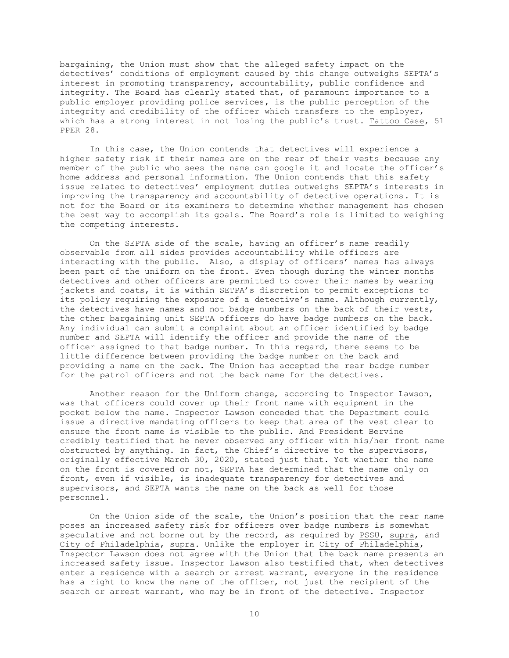bargaining, the Union must show that the alleged safety impact on the detectives' conditions of employment caused by this change outweighs SEPTA's interest in promoting transparency, accountability, public confidence and integrity. The Board has clearly stated that, of paramount importance to a public employer providing police services, is the public perception of the integrity and credibility of the officer which transfers to the employer, which has a strong interest in not losing the public's trust. Tattoo Case, 51 PPER 28.

In this case, the Union contends that detectives will experience a higher safety risk if their names are on the rear of their vests because any member of the public who sees the name can google it and locate the officer's home address and personal information. The Union contends that this safety issue related to detectives' employment duties outweighs SEPTA's interests in improving the transparency and accountability of detective operations. It is not for the Board or its examiners to determine whether management has chosen the best way to accomplish its goals. The Board's role is limited to weighing the competing interests.

On the SEPTA side of the scale, having an officer's name readily observable from all sides provides accountability while officers are interacting with the public. Also, a display of officers' names has always been part of the uniform on the front. Even though during the winter months detectives and other officers are permitted to cover their names by wearing jackets and coats, it is within SETPA's discretion to permit exceptions to its policy requiring the exposure of a detective's name. Although currently, the detectives have names and not badge numbers on the back of their vests, the other bargaining unit SEPTA officers do have badge numbers on the back. Any individual can submit a complaint about an officer identified by badge number and SEPTA will identify the officer and provide the name of the officer assigned to that badge number. In this regard, there seems to be little difference between providing the badge number on the back and providing a name on the back. The Union has accepted the rear badge number for the patrol officers and not the back name for the detectives.

Another reason for the Uniform change, according to Inspector Lawson, was that officers could cover up their front name with equipment in the pocket below the name. Inspector Lawson conceded that the Department could issue a directive mandating officers to keep that area of the vest clear to ensure the front name is visible to the public. And President Bervine credibly testified that he never observed any officer with his/her front name obstructed by anything. In fact, the Chief's directive to the supervisors, originally effective March 30, 2020, stated just that. Yet whether the name on the front is covered or not, SEPTA has determined that the name only on front, even if visible, is inadequate transparency for detectives and supervisors, and SEPTA wants the name on the back as well for those personnel.

On the Union side of the scale, the Union's position that the rear name poses an increased safety risk for officers over badge numbers is somewhat speculative and not borne out by the record, as required by PSSU, supra, and City of Philadelphia, supra. Unlike the employer in City of Philadelphia, Inspector Lawson does not agree with the Union that the back name presents an increased safety issue. Inspector Lawson also testified that, when detectives enter a residence with a search or arrest warrant, everyone in the residence has a right to know the name of the officer, not just the recipient of the search or arrest warrant, who may be in front of the detective. Inspector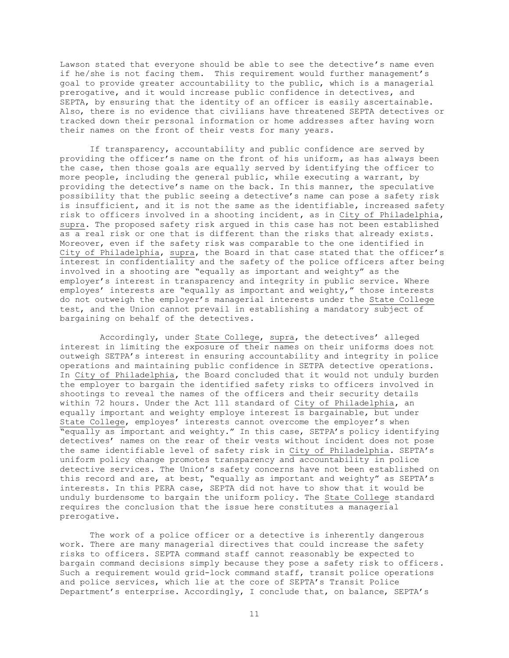Lawson stated that everyone should be able to see the detective's name even if he/she is not facing them. This requirement would further management's goal to provide greater accountability to the public, which is a managerial prerogative, and it would increase public confidence in detectives, and SEPTA, by ensuring that the identity of an officer is easily ascertainable. Also, there is no evidence that civilians have threatened SEPTA detectives or tracked down their personal information or home addresses after having worn their names on the front of their vests for many years.

If transparency, accountability and public confidence are served by providing the officer's name on the front of his uniform, as has always been the case, then those goals are equally served by identifying the officer to more people, including the general public, while executing a warrant, by providing the detective's name on the back. In this manner, the speculative possibility that the public seeing a detective's name can pose a safety risk is insufficient, and it is not the same as the identifiable, increased safety risk to officers involved in a shooting incident, as in City of Philadelphia, supra. The proposed safety risk argued in this case has not been established as a real risk or one that is different than the risks that already exists. Moreover, even if the safety risk was comparable to the one identified in City of Philadelphia, supra, the Board in that case stated that the officer's interest in confidentiality and the safety of the police officers after being involved in a shooting are "equally as important and weighty" as the employer's interest in transparency and integrity in public service. Where employes' interests are "equally as important and weighty," those interests do not outweigh the employer's managerial interests under the State College test, and the Union cannot prevail in establishing a mandatory subject of bargaining on behalf of the detectives.

 Accordingly, under State College, supra, the detectives' alleged interest in limiting the exposure of their names on their uniforms does not outweigh SETPA's interest in ensuring accountability and integrity in police operations and maintaining public confidence in SETPA detective operations. In City of Philadelphia, the Board concluded that it would not unduly burden the employer to bargain the identified safety risks to officers involved in shootings to reveal the names of the officers and their security details within 72 hours. Under the Act 111 standard of City of Philadelphia, an equally important and weighty employe interest is bargainable, but under State College, employes' interests cannot overcome the employer's when "equally as important and weighty." In this case, SETPA's policy identifying detectives' names on the rear of their vests without incident does not pose the same identifiable level of safety risk in City of Philadelphia. SEPTA's uniform policy change promotes transparency and accountability in police detective services. The Union's safety concerns have not been established on this record and are, at best, "equally as important and weighty" as SEPTA's interests. In this PERA case, SEPTA did not have to show that it would be unduly burdensome to bargain the uniform policy. The State College standard requires the conclusion that the issue here constitutes a managerial prerogative.

The work of a police officer or a detective is inherently dangerous work. There are many managerial directives that could increase the safety risks to officers. SEPTA command staff cannot reasonably be expected to bargain command decisions simply because they pose a safety risk to officers. Such a requirement would grid-lock command staff, transit police operations and police services, which lie at the core of SEPTA's Transit Police Department's enterprise. Accordingly, I conclude that, on balance, SEPTA's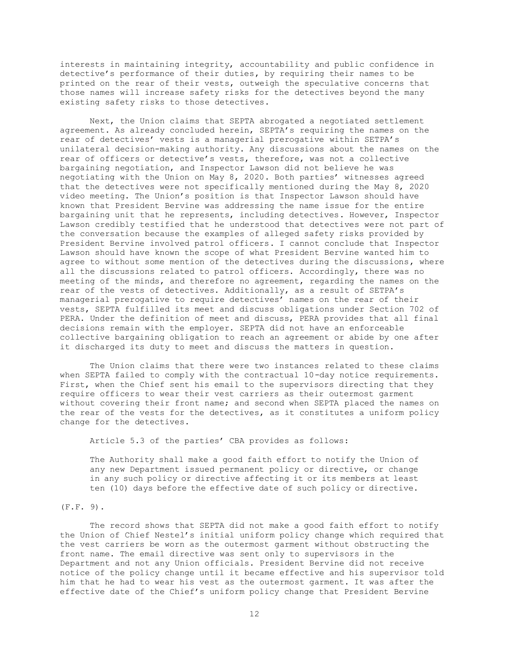interests in maintaining integrity, accountability and public confidence in detective's performance of their duties, by requiring their names to be printed on the rear of their vests, outweigh the speculative concerns that those names will increase safety risks for the detectives beyond the many existing safety risks to those detectives.

Next, the Union claims that SEPTA abrogated a negotiated settlement agreement. As already concluded herein, SEPTA's requiring the names on the rear of detectives' vests is a managerial prerogative within SETPA's unilateral decision-making authority. Any discussions about the names on the rear of officers or detective's vests, therefore, was not a collective bargaining negotiation, and Inspector Lawson did not believe he was negotiating with the Union on May 8, 2020. Both parties' witnesses agreed that the detectives were not specifically mentioned during the May 8, 2020 video meeting. The Union's position is that Inspector Lawson should have known that President Bervine was addressing the name issue for the entire bargaining unit that he represents, including detectives. However, Inspector Lawson credibly testified that he understood that detectives were not part of the conversation because the examples of alleged safety risks provided by President Bervine involved patrol officers. I cannot conclude that Inspector Lawson should have known the scope of what President Bervine wanted him to agree to without some mention of the detectives during the discussions, where all the discussions related to patrol officers. Accordingly, there was no meeting of the minds, and therefore no agreement, regarding the names on the rear of the vests of detectives. Additionally, as a result of SETPA's managerial prerogative to require detectives' names on the rear of their vests, SEPTA fulfilled its meet and discuss obligations under Section 702 of PERA. Under the definition of meet and discuss, PERA provides that all final decisions remain with the employer. SEPTA did not have an enforceable collective bargaining obligation to reach an agreement or abide by one after it discharged its duty to meet and discuss the matters in question.

The Union claims that there were two instances related to these claims when SEPTA failed to comply with the contractual 10-day notice requirements. First, when the Chief sent his email to the supervisors directing that they require officers to wear their vest carriers as their outermost garment without covering their front name; and second when SEPTA placed the names on the rear of the vests for the detectives, as it constitutes a uniform policy change for the detectives.

Article 5.3 of the parties' CBA provides as follows:

The Authority shall make a good faith effort to notify the Union of any new Department issued permanent policy or directive, or change in any such policy or directive affecting it or its members at least ten (10) days before the effective date of such policy or directive.

## (F.F. 9).

The record shows that SEPTA did not make a good faith effort to notify the Union of Chief Nestel's initial uniform policy change which required that the vest carriers be worn as the outermost garment without obstructing the front name. The email directive was sent only to supervisors in the Department and not any Union officials. President Bervine did not receive notice of the policy change until it became effective and his supervisor told him that he had to wear his vest as the outermost garment. It was after the effective date of the Chief's uniform policy change that President Bervine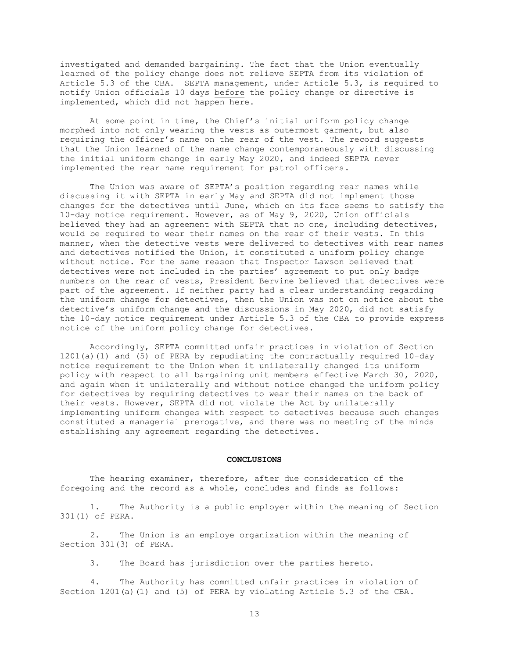investigated and demanded bargaining. The fact that the Union eventually learned of the policy change does not relieve SEPTA from its violation of Article 5.3 of the CBA. SEPTA management, under Article 5.3, is required to notify Union officials 10 days before the policy change or directive is implemented, which did not happen here.

At some point in time, the Chief's initial uniform policy change morphed into not only wearing the vests as outermost garment, but also requiring the officer's name on the rear of the vest. The record suggests that the Union learned of the name change contemporaneously with discussing the initial uniform change in early May 2020, and indeed SEPTA never implemented the rear name requirement for patrol officers.

The Union was aware of SEPTA's position regarding rear names while discussing it with SEPTA in early May and SEPTA did not implement those changes for the detectives until June, which on its face seems to satisfy the 10-day notice requirement. However, as of May 9, 2020, Union officials believed they had an agreement with SEPTA that no one, including detectives, would be required to wear their names on the rear of their vests. In this manner, when the detective vests were delivered to detectives with rear names and detectives notified the Union, it constituted a uniform policy change without notice. For the same reason that Inspector Lawson believed that detectives were not included in the parties' agreement to put only badge numbers on the rear of vests, President Bervine believed that detectives were part of the agreement. If neither party had a clear understanding regarding the uniform change for detectives, then the Union was not on notice about the detective's uniform change and the discussions in May 2020, did not satisfy the 10-day notice requirement under Article 5.3 of the CBA to provide express notice of the uniform policy change for detectives.

Accordingly, SEPTA committed unfair practices in violation of Section 1201(a)(1) and (5) of PERA by repudiating the contractually required 10-day notice requirement to the Union when it unilaterally changed its uniform policy with respect to all bargaining unit members effective March 30, 2020, and again when it unilaterally and without notice changed the uniform policy for detectives by requiring detectives to wear their names on the back of their vests. However, SEPTA did not violate the Act by unilaterally implementing uniform changes with respect to detectives because such changes constituted a managerial prerogative, and there was no meeting of the minds establishing any agreement regarding the detectives.

#### **CONCLUSIONS**

The hearing examiner, therefore, after due consideration of the foregoing and the record as a whole, concludes and finds as follows:

 1. The Authority is a public employer within the meaning of Section 301(1) of PERA.

 2. The Union is an employe organization within the meaning of Section 301(3) of PERA.

3. The Board has jurisdiction over the parties hereto.

 4. The Authority has committed unfair practices in violation of Section 1201(a)(1) and (5) of PERA by violating Article 5.3 of the CBA.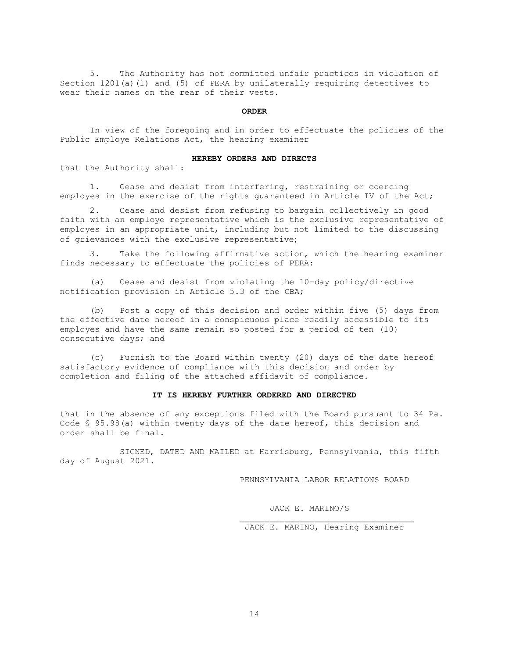5. The Authority has not committed unfair practices in violation of Section 1201(a)(1) and (5) of PERA by unilaterally requiring detectives to wear their names on the rear of their vests.

## **ORDER**

In view of the foregoing and in order to effectuate the policies of the Public Employe Relations Act, the hearing examiner

### **HEREBY ORDERS AND DIRECTS**

that the Authority shall:

1. Cease and desist from interfering, restraining or coercing employes in the exercise of the rights guaranteed in Article IV of the Act;

2. Cease and desist from refusing to bargain collectively in good faith with an employe representative which is the exclusive representative of employes in an appropriate unit, including but not limited to the discussing of grievances with the exclusive representative;

3. Take the following affirmative action, which the hearing examiner finds necessary to effectuate the policies of PERA:

(a) Cease and desist from violating the 10-day policy/directive notification provision in Article 5.3 of the CBA;

(b) Post a copy of this decision and order within five (5) days from the effective date hereof in a conspicuous place readily accessible to its employes and have the same remain so posted for a period of ten (10) consecutive days; and

(c) Furnish to the Board within twenty (20) days of the date hereof satisfactory evidence of compliance with this decision and order by completion and filing of the attached affidavit of compliance.

### **IT IS HEREBY FURTHER ORDERED AND DIRECTED**

that in the absence of any exceptions filed with the Board pursuant to 34 Pa. Code § 95.98(a) within twenty days of the date hereof, this decision and order shall be final.

SIGNED, DATED AND MAILED at Harrisburg, Pennsylvania, this fifth day of August 2021.

PENNSYLVANIA LABOR RELATIONS BOARD

JACK E. MARINO/S

JACK E. MARINO, Hearing Examiner